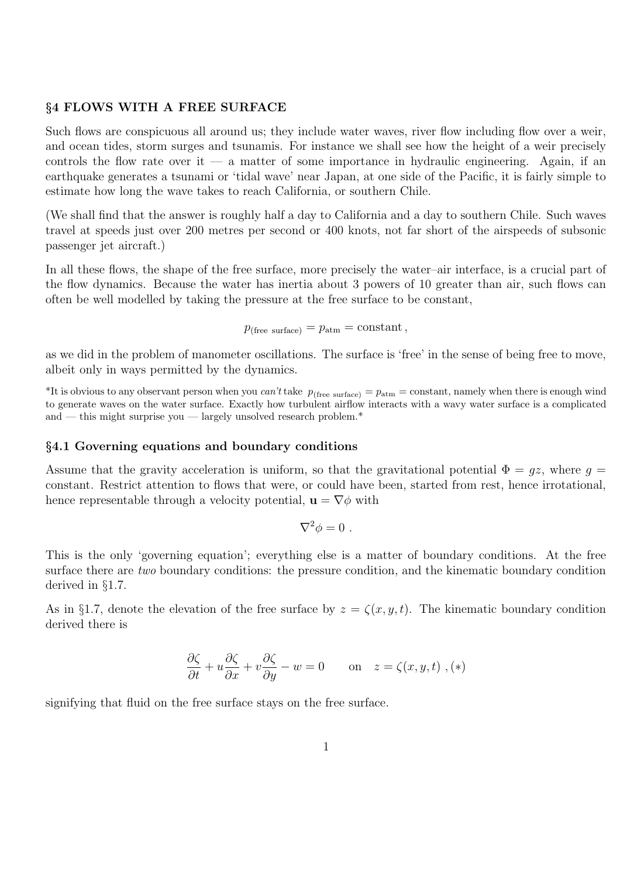### §4 FLOWS WITH A FREE SURFACE

Such flows are conspicuous all around us; they include water waves, river flow including flow over a weir, and ocean tides, storm surges and tsunamis. For instance we shall see how the height of a weir precisely controls the flow rate over it — a matter of some importance in hydraulic engineering. Again, if an earthquake generates a tsunami or 'tidal wave' near Japan, at one side of the Pacific, it is fairly simple to estimate how long the wave takes to reach California, or southern Chile.

(We shall find that the answer is roughly half a day to California and a day to southern Chile. Such waves travel at speeds just over 200 metres per second or 400 knots, not far short of the airspeeds of subsonic passenger jet aircraft.)

In all these flows, the shape of the free surface, more precisely the water–air interface, is a crucial part of the flow dynamics. Because the water has inertia about 3 powers of 10 greater than air, such flows can often be well modelled by taking the pressure at the free surface to be constant,

 $p_{\text{(free surface)}} = p_{\text{atm}} = \text{constant},$ 

as we did in the problem of manometer oscillations. The surface is 'free' in the sense of being free to move, albeit only in ways permitted by the dynamics.

<sup>\*</sup>It is obvious to any observant person when you *can't* take  $p_{(\text{free surface})} = p_{\text{atm}} = \text{constant}$ , namely when there is enough wind to generate waves on the water surface. Exactly how turbulent airflow interacts with a wavy water surface is a complicated and — this might surprise you — largely unsolved research problem. $*$ 

### §4.1 Governing equations and boundary conditions

Assume that the gravity acceleration is uniform, so that the gravitational potential  $\Phi = qz$ , where  $q =$ constant. Restrict attention to flows that were, or could have been, started from rest, hence irrotational, hence representable through a velocity potential,  $\mathbf{u} = \nabla \phi$  with

$$
\nabla^2 \phi = 0 \; .
$$

This is the only 'governing equation'; everything else is a matter of boundary conditions. At the free surface there are two boundary conditions: the pressure condition, and the kinematic boundary condition derived in §1.7.

As in §1.7, denote the elevation of the free surface by  $z = \zeta(x, y, t)$ . The kinematic boundary condition derived there is

$$
\frac{\partial \zeta}{\partial t} + u \frac{\partial \zeta}{\partial x} + v \frac{\partial \zeta}{\partial y} - w = 0 \quad \text{on} \quad z = \zeta(x, y, t) , (*)
$$

signifying that fluid on the free surface stays on the free surface.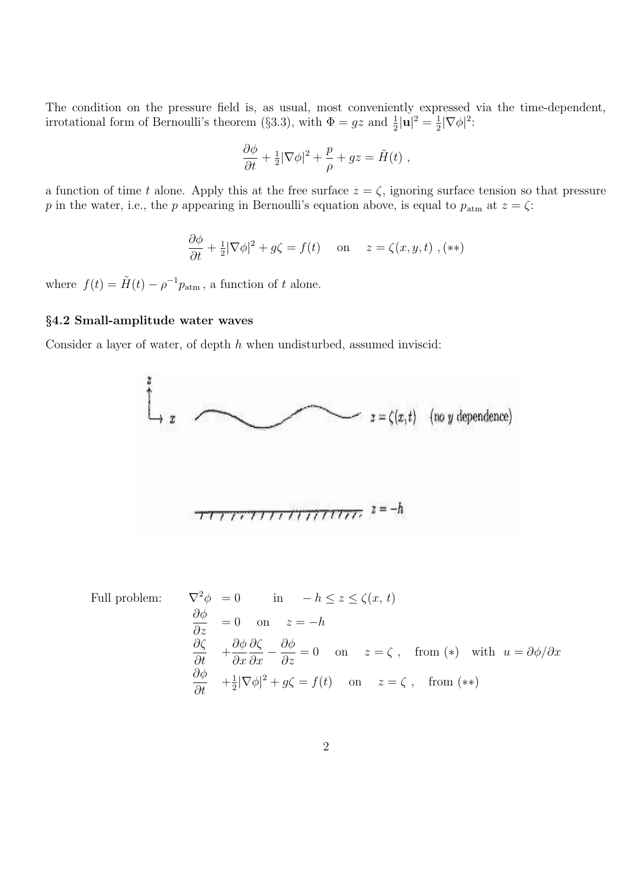The condition on the pressure field is, as usual, most conveniently expressed via the time-dependent, irrotational form of Bernoulli's theorem (§3.3), with  $\Phi = gz$  and  $\frac{1}{2}|\mathbf{u}|^2 = \frac{1}{2}$  $\frac{1}{2}|\nabla\phi|^2$ :

$$
\frac{\partial \phi}{\partial t} + \frac{1}{2} |\nabla \phi|^2 + \frac{p}{\rho} + gz = \tilde{H}(t) ,
$$

a function of time t alone. Apply this at the free surface  $z = \zeta$ , ignoring surface tension so that pressure p in the water, i.e., the p appearing in Bernoulli's equation above, is equal to  $p_{\text{atm}}$  at  $z = \zeta$ :

$$
\frac{\partial \phi}{\partial t} + \frac{1}{2} |\nabla \phi|^2 + g\zeta = f(t) \quad \text{on} \quad z = \zeta(x, y, t) ,(**)
$$

where  $f(t) = \tilde{H}(t) - \rho^{-1} p_{\text{atm}}$ , a function of t alone.

# §4.2 Small-amplitude water waves

Consider a layer of water, of depth h when undisturbed, assumed inviscid:



Full problem: 
$$
\nabla^2 \phi = 0 \quad \text{in} \quad -h \le z \le \zeta(x, t)
$$

$$
\frac{\partial \phi}{\partial z} = 0 \quad \text{on} \quad z = -h
$$

$$
\frac{\partial \zeta}{\partial t} + \frac{\partial \phi}{\partial x} \frac{\partial \zeta}{\partial x} - \frac{\partial \phi}{\partial z} = 0 \quad \text{on} \quad z = \zeta, \quad \text{from } (*) \quad \text{with} \quad u = \partial \phi / \partial x
$$

$$
\frac{\partial \phi}{\partial t} + \frac{1}{2} |\nabla \phi|^2 + g\zeta = f(t) \quad \text{on} \quad z = \zeta, \quad \text{from } (**)
$$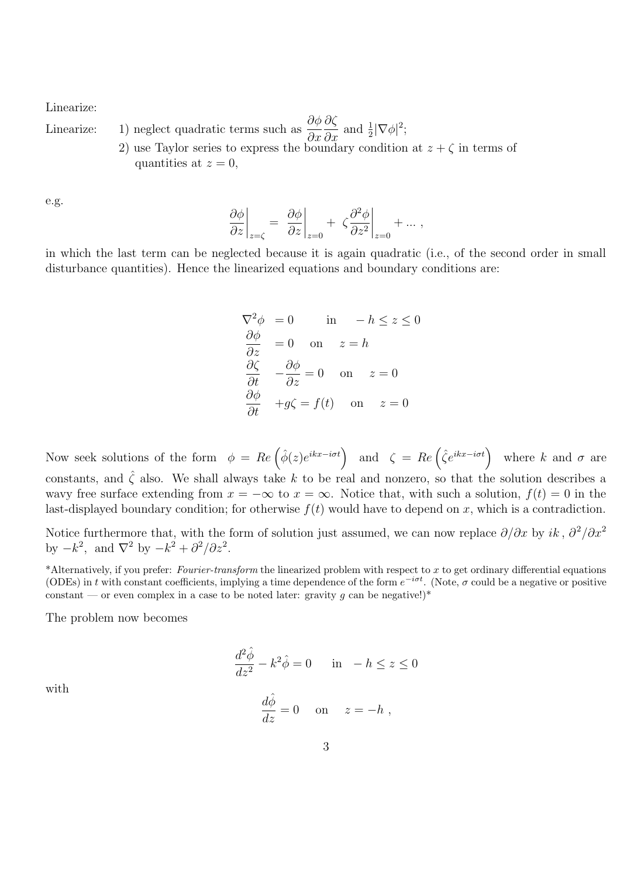Linearize:

Linearize: 1) neglect quadratic terms such as  $\partial \phi$  $\partial x$ ∂ζ  $\partial x$ and  $\frac{1}{2}|\nabla\phi|^2$ ;

2) use Taylor series to express the boundary condition at  $z + \zeta$  in terms of quantities at  $z=0$ ,

e.g.

$$
\left. \frac{\partial \phi}{\partial z} \right|_{z=\zeta} = \left. \frac{\partial \phi}{\partial z} \right|_{z=0} + \left. \zeta \frac{\partial^2 \phi}{\partial z^2} \right|_{z=0} + \dots,
$$

in which the last term can be neglected because it is again quadratic (i.e., of the second order in small disturbance quantities). Hence the linearized equations and boundary conditions are:

$$
\nabla^2 \phi = 0 \quad \text{in} \quad -h \le z \le 0
$$
  
\n
$$
\frac{\partial \phi}{\partial z} = 0 \quad \text{on} \quad z = h
$$
  
\n
$$
\frac{\partial \zeta}{\partial t} - \frac{\partial \phi}{\partial z} = 0 \quad \text{on} \quad z = 0
$$
  
\n
$$
\frac{\partial \phi}{\partial t} + g\zeta = f(t) \quad \text{on} \quad z = 0
$$

Now seek solutions of the form  $\phi = Re \left( \hat{\phi}(z) e^{ikx-i\sigma t} \right)$  and  $\zeta = Re \left( \hat{\zeta} e^{ikx-i\sigma t} \right)$  where k and  $\sigma$  are constants, and  $\hat{\zeta}$  also. We shall always take k to be real and nonzero, so that the solution describes a wavy free surface extending from  $x = -\infty$  to  $x = \infty$ . Notice that, with such a solution,  $f(t) = 0$  in the last-displayed boundary condition; for otherwise  $f(t)$  would have to depend on x, which is a contradiction.

Notice furthermore that, with the form of solution just assumed, we can now replace  $\partial/\partial x$  by ik,  $\partial^2/\partial x^2$ by  $-k^2$ , and  $\nabla^2$  by  $-k^2 + \frac{\partial^2}{\partial z^2}$ .

\*Alternatively, if you prefer: Fourier-transform the linearized problem with respect to x to get ordinary differential equations (ODEs) in t with constant coefficients, implying a time dependence of the form  $e^{-i\sigma t}$ . (Note,  $\sigma$  could be a negative or positive constant — or even complex in a case to be noted later: gravity g can be negative!)\*

The problem now becomes

$$
\frac{d^2\hat{\phi}}{dz^2} - k^2\hat{\phi} = 0 \quad \text{in} \quad -h \le z \le 0
$$

with

$$
\frac{d\hat{\phi}}{dz} = 0 \quad \text{on} \quad z = -h ,
$$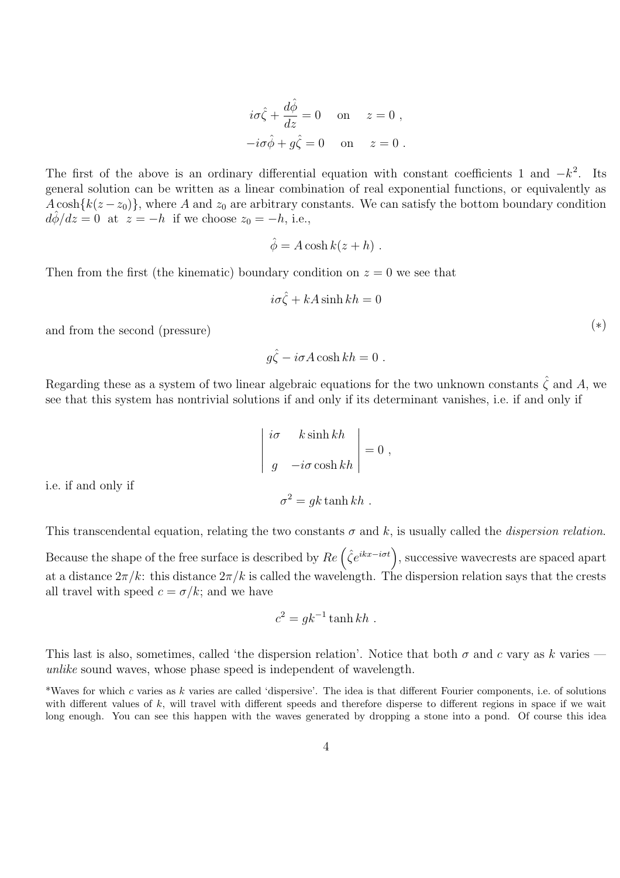$$
i\sigma \hat{\zeta} + \frac{d\hat{\phi}}{dz} = 0 \quad \text{on} \quad z = 0 ,
$$
  

$$
-i\sigma \hat{\phi} + g \hat{\zeta} = 0 \quad \text{on} \quad z = 0 .
$$

The first of the above is an ordinary differential equation with constant coefficients 1 and  $-k^2$ . Its general solution can be written as a linear combination of real exponential functions, or equivalently as  $A \cosh{k(z-z_0)}$ , where A and  $z_0$  are arbitrary constants. We can satisfy the bottom boundary condition  $d\hat{\phi}/dz = 0$  at  $z = -h$  if we choose  $z_0 = -h$ , i.e.,

$$
\hat{\phi} = A \cosh k(z + h) .
$$

Then from the first (the kinematic) boundary condition on  $z = 0$  we see that

$$
i\sigma\hat{\zeta} + kA\sinh kh = 0
$$

and from the second (pressure)  $(*)$ 

 $g\hat{\zeta}-i\sigma A\cosh kh=0$ .

Regarding these as a system of two linear algebraic equations for the two unknown constants  $\hat{\zeta}$  and A, we see that this system has nontrivial solutions if and only if its determinant vanishes, i.e. if and only if

$$
\begin{vmatrix} i\sigma & k \sinh kh \\ g & -i\sigma \cosh kh \end{vmatrix} = 0 ,
$$

i.e. if and only if

This transcendental equation, relating the two constants  $\sigma$  and k, is usually called the *dispersion relation*.

 $\sigma^2 = gk \tanh kh$ .

Because the shape of the free surface is described by  $Re(\hat{\zeta}e^{ikx-i\sigma t})$ , successive wavecrests are spaced apart at a distance  $2\pi/k$ : this distance  $2\pi/k$  is called the wavelength. The dispersion relation says that the crests all travel with speed  $c = \sigma/k$ ; and we have

$$
c^2 = g k^{-1} \tanh kh .
$$

This last is also, sometimes, called 'the dispersion relation'. Notice that both  $\sigma$  and c vary as k varies – unlike sound waves, whose phase speed is independent of wavelength.

\*Waves for which c varies as k varies are called 'dispersive'. The idea is that different Fourier components, i.e. of solutions with different values of  $k$ , will travel with different speeds and therefore disperse to different regions in space if we wait long enough. You can see this happen with the waves generated by dropping a stone into a pond. Of course this idea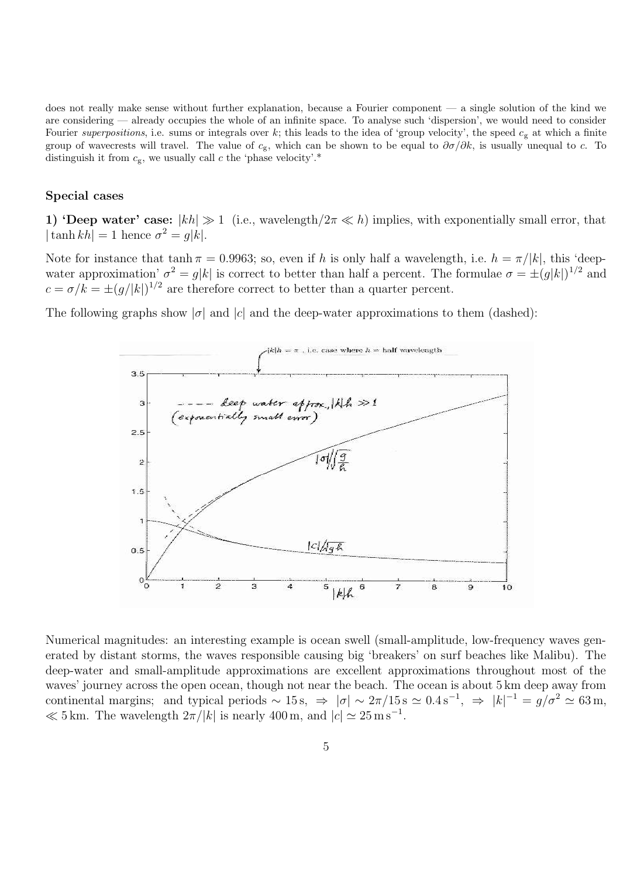does not really make sense without further explanation, because a Fourier component — a single solution of the kind we are considering — already occupies the whole of an infinite space. To analyse such 'dispersion', we would need to consider Fourier superpositions, i.e. sums or integrals over k; this leads to the idea of 'group velocity', the speed  $c_g$  at which a finite group of wavecrests will travel. The value of  $c_g$ , which can be shown to be equal to  $\partial \sigma / \partial k$ , is usually unequal to c. To distinguish it from  $c_{\rm g}$ , we usually call c the 'phase velocity'.\*

#### Special cases

1) 'Deep water' case:  $|kh| \gg 1$  (i.e., wavelength/ $2\pi \ll h$ ) implies, with exponentially small error, that  $|\tanh kh| = 1$  hence  $\sigma^2 = g|k|$ .

Note for instance that tanh  $\pi = 0.9963$ ; so, even if h is only half a wavelength, i.e.  $h = \pi/|k|$ , this 'deepwater approximation'  $\sigma^2 = g|k|$  is correct to better than half a percent. The formulae  $\sigma = \pm (g|k|)^{1/2}$  and  $c = \sigma/k = \pm (g/|k|)^{1/2}$  are therefore correct to better than a quarter percent.

The following graphs show  $|\sigma|$  and  $|c|$  and the deep-water approximations to them (dashed):



Numerical magnitudes: an interesting example is ocean swell (small-amplitude, low-frequency waves generated by distant storms, the waves responsible causing big 'breakers' on surf beaches like Malibu). The deep-water and small-amplitude approximations are excellent approximations throughout most of the waves' journey across the open ocean, though not near the beach. The ocean is about 5 km deep away from continental margins; and typical periods  $\sim 15 \text{ s}$ ,  $\Rightarrow |\sigma| \sim 2\pi/15 \text{ s} \simeq 0.4 \text{ s}^{-1}$ ,  $\Rightarrow |k|^{-1} = g/\sigma^2 \simeq 63 \text{ m}$ ,  $\ll 5 \text{ km}$ . The wavelength  $2\pi/|k|$  is nearly 400 m, and  $|c| \simeq 25 \text{ m s}^{-1}$ .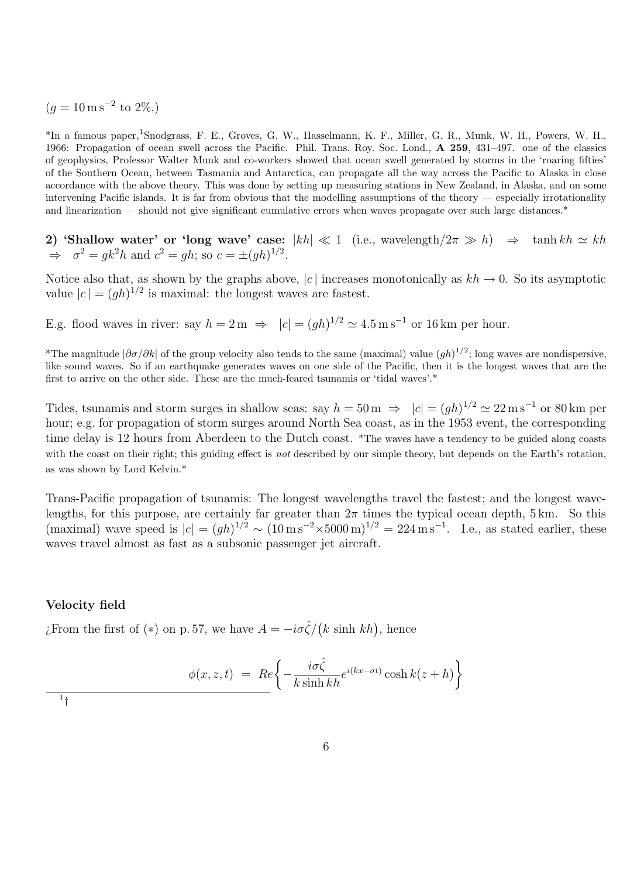$(g = 10 \,\mathrm{m\,s^{-2}}\text{ to }2\%).$ 

\*In a famous paper,<sup>1</sup>Snodgrass, F. E., Groves, G. W., Hasselmann, K. F., Miller, G. R., Munk, W. H., Powers, W. H., 1966: Propagation of ocean swell across the Pacific. Phil. Trans. Roy. Soc. Lond., A 259, 431–497. one of the classics of geophysics, Professor Walter Munk and co-workers showed that ocean swell generated by storms in the 'roaring fifties' of the Southern Ocean, between Tasmania and Antarctica, can propagate all the way across the Pacific to Alaska in close accordance with the above theory. This was done by setting up measuring stations in New Zealand, in Alaska, and on some intervening Pacific islands. It is far from obvious that the modelling assumptions of the theory — especially irrotationality and linearization — should not give significant cumulative errors when waves propagate over such large distances.\*

2) 'Shallow water' or 'long wave' case:  $|kh| \ll 1$  (i.e., wavelength $/2\pi \gg h$ )  $\Rightarrow$  tanh  $kh \simeq kh$  $\Rightarrow \sigma^2 = g k^2 h$  and  $c^2 = gh$ ; so  $c = \pm (gh)^{1/2}$ .

Notice also that, as shown by the graphs above, |c| increases monotonically as  $kh \to 0$ . So its asymptotic value  $|c| = (gh)^{1/2}$  is maximal: the longest waves are fastest.

E.g. flood waves in river: say  $h = 2m \implies |c| = (gh)^{1/2} \approx 4.5 \,\mathrm{m\,s^{-1}}$  or 16 km per hour.

\*The magnitude  $|\partial\sigma/\partial k|$  of the group velocity also tends to the same (maximal) value  $(gh)^{1/2}$ ; long waves are nondispersive, like sound waves. So if an earthquake generates waves on one side of the Pacific, then it is the longest waves that are the first to arrive on the other side. These are the much-feared tsunamis or 'tidal waves'.\*

Tides, tsunamis and storm surges in shallow seas: say  $h = 50 \,\mathrm{m} \Rightarrow |c| = (gh)^{1/2} \approx 22 \,\mathrm{m s^{-1}}$  or 80 km per hour; e.g. for propagation of storm surges around North Sea coast, as in the 1953 event, the corresponding time delay is 12 hours from Aberdeen to the Dutch coast. \*The waves have a tendency to be guided along coasts with the coast on their right; this guiding effect is *not* described by our simple theory, but depends on the Earth's rotation, as was shown by Lord Kelvin.\*

Trans-Pacific propagation of tsunamis: The longest wavelengths travel the fastest; and the longest wavelengths, for this purpose, are certainly far greater than  $2\pi$  times the typical ocean depth, 5 km. So this (maximal) wave speed is  $|c| = (gh)^{1/2} \sim (10 \,\mathrm{m\,s^{-2}} \times 5000 \,\mathrm{m})^{1/2} = 224 \,\mathrm{m\,s^{-1}}$ . I.e., as stated earlier, these waves travel almost as fast as a subsonic passenger jet aircraft.

# Velocity field

¿From the first of (\*) on p. 57, we have  $A = -i\sigma \hat{\zeta}/(k \sinh kh)$ , hence

$$
\phi(x, z, t) = Re \left\{ -\frac{i\sigma\hat{\zeta}}{k\sinh kh} e^{i(kx - \sigma t)} \cosh k(z + h) \right\}
$$

1 †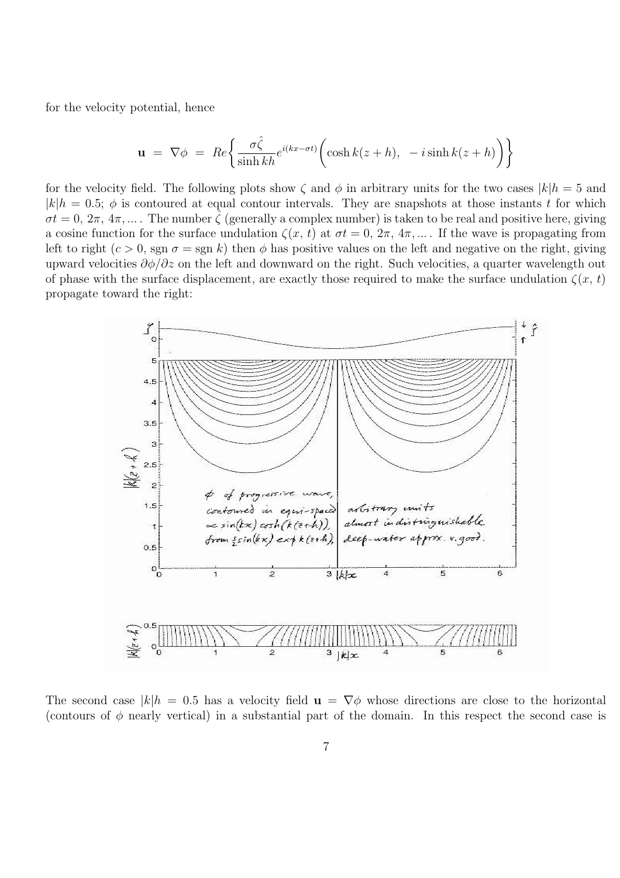for the velocity potential, hence

$$
\mathbf{u} = \nabla \phi = Re \left\{ \frac{\sigma \hat{\zeta}}{\sinh kh} e^{i(kx - \sigma t)} \bigg( \cosh k(z + h), -i \sinh k(z + h) \bigg) \right\}
$$

for the velocity field. The following plots show  $\zeta$  and  $\phi$  in arbitrary units for the two cases  $|k|h = 5$  and  $|k|h = 0.5; \phi$  is contoured at equal contour intervals. They are snapshots at those instants t for which  $\sigma t = 0, 2\pi, 4\pi, \dots$ . The number  $\zeta$  (generally a complex number) is taken to be real and positive here, giving a cosine function for the surface undulation  $\zeta(x, t)$  at  $\sigma t = 0, 2\pi, 4\pi, \dots$ . If the wave is propagating from left to right  $(c > 0, \text{sgn } \sigma = \text{sgn } k)$  then  $\phi$  has positive values on the left and negative on the right, giving upward velocities  $\partial \phi / \partial z$  on the left and downward on the right. Such velocities, a quarter wavelength out of phase with the surface displacement, are exactly those required to make the surface undulation  $\zeta(x, t)$ propagate toward the right:



The second case  $|k|h = 0.5$  has a velocity field  $\mathbf{u} = \nabla \phi$  whose directions are close to the horizontal (contours of  $\phi$  nearly vertical) in a substantial part of the domain. In this respect the second case is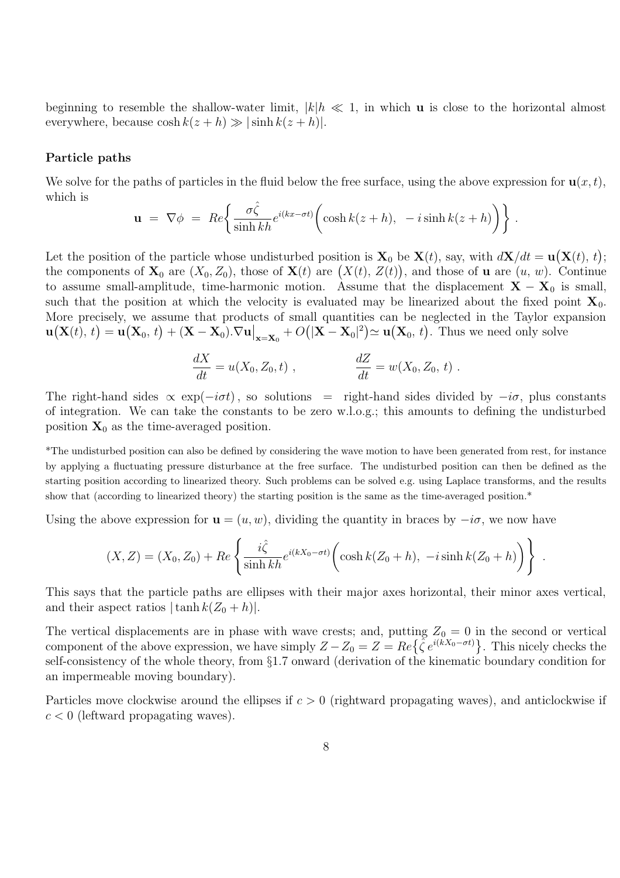beginning to resemble the shallow-water limit,  $|k|h \ll 1$ , in which **u** is close to the horizontal almost everywhere, because  $\cosh k(z+h) \gg |\sinh k(z+h)|$ .

#### Particle paths

We solve for the paths of particles in the fluid below the free surface, using the above expression for  $\mathbf{u}(x,t)$ , which is

$$
\mathbf{u} = \nabla \phi = Re \left\{ \frac{\sigma \hat{\zeta}}{\sinh kh} e^{i(kx - \sigma t)} \bigg( \cosh k(z + h), -i \sinh k(z + h) \bigg) \right\}.
$$

Let the position of the particle whose undisturbed position is  $\mathbf{X}_0$  be  $\mathbf{X}(t)$ , say, with  $d\mathbf{X}/dt = \mathbf{u}(\mathbf{X}(t), t)$ ; the components of  $\mathbf{X}_0$  are  $(X_0, Z_0)$ , those of  $\mathbf{X}(t)$  are  $(X(t), Z(t))$ , and those of **u** are  $(u, w)$ . Continue to assume small-amplitude, time-harmonic motion. Assume that the displacement  $X - X_0$  is small, such that the position at which the velocity is evaluated may be linearized about the fixed point  $X_0$ . More precisely, we assume that products of small quantities can be neglected in the Taylor expansion  $\mathbf{u}(\mathbf{X}(t), t) = \mathbf{u}(\mathbf{X}_0, t) + (\mathbf{X} - \mathbf{X}_0).\nabla \mathbf{u}\big|_{\mathbf{x} = \mathbf{X}_0} + O(|\mathbf{X} - \mathbf{X}_0|^2) \simeq \mathbf{u}(\mathbf{X}_0, t)$ . Thus we need only solve

$$
\frac{dX}{dt} = u(X_0, Z_0, t) , \qquad \frac{dZ}{dt} = w(X_0, Z_0, t) .
$$

The right-hand sides  $\propto \exp(-i\sigma t)$ , so solutions = right-hand sides divided by  $-i\sigma$ , plus constants of integration. We can take the constants to be zero w.l.o.g.; this amounts to defining the undisturbed position  $X_0$  as the time-averaged position.

\*The undisturbed position can also be defined by considering the wave motion to have been generated from rest, for instance by applying a fluctuating pressure disturbance at the free surface. The undisturbed position can then be defined as the starting position according to linearized theory. Such problems can be solved e.g. using Laplace transforms, and the results show that (according to linearized theory) the starting position is the same as the time-averaged position.\*

Using the above expression for  $\mathbf{u} = (u, w)$ , dividing the quantity in braces by  $-i\sigma$ , we now have

$$
(X, Z) = (X_0, Z_0) + Re \left\{ \frac{i\hat{\zeta}}{\sinh kh} e^{i(kX_0 - \sigma t)} \bigg( \cosh k(Z_0 + h), -i \sinh k(Z_0 + h) \bigg) \right\} .
$$

This says that the particle paths are ellipses with their major axes horizontal, their minor axes vertical, and their aspect ratios  $|\tanh k(Z_0 + h)|$ .

The vertical displacements are in phase with wave crests; and, putting  $Z_0 = 0$  in the second or vertical component of the above expression, we have simply  $Z - Z_0 = Z = Re\{\hat{\zeta}e^{i(kX_0 - \sigma t)}\}\.$  This nicely checks the self-consistency of the whole theory, from §1.7 onward (derivation of the kinematic boundary condition for an impermeable moving boundary).

Particles move clockwise around the ellipses if  $c > 0$  (rightward propagating waves), and anticlockwise if  $c < 0$  (leftward propagating waves).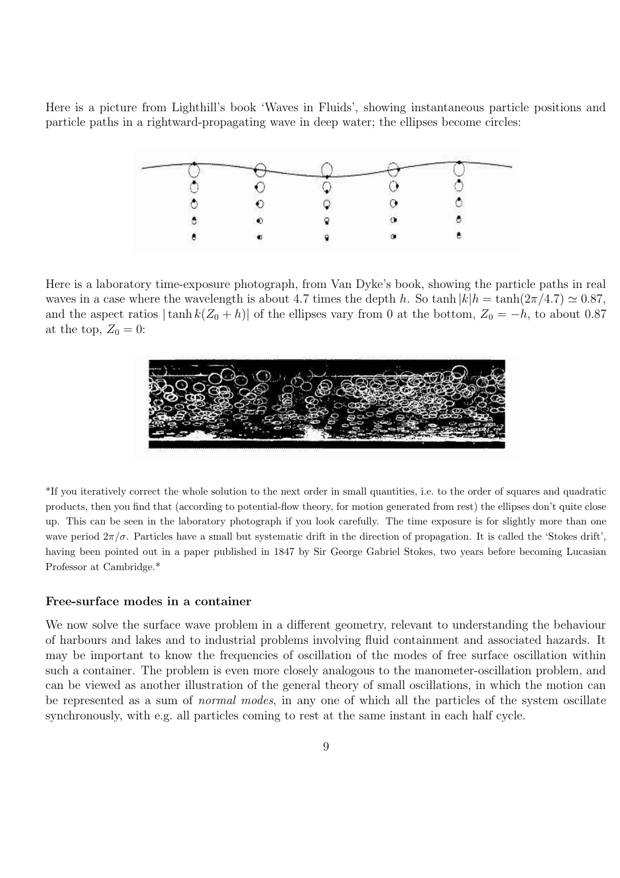Here is a picture from Lighthill's book 'Waves in Fluids', showing instantaneous particle positions and particle paths in a rightward-propagating wave in deep water; the ellipses become circles:

Here is a laboratory time-exposure photograph, from Van Dyke's book, showing the particle paths in real waves in a case where the wavelength is about 4.7 times the depth h. So tanh  $|k|h = \tanh(2\pi/4.7) \approx 0.87$ , and the aspect ratios  $|\tanh k(Z_0 + h)|$  of the ellipses vary from 0 at the bottom,  $Z_0 = -h$ , to about 0.87 at the top,  $Z_0 = 0$ :



\*If you iteratively correct the whole solution to the next order in small quantities, i.e. to the order of squares and quadratic products, then you find that (according to potential-flow theory, for motion generated from rest) the ellipses don't quite close up. This can be seen in the laboratory photograph if you look carefully. The time exposure is for slightly more than one wave period  $2\pi/\sigma$ . Particles have a small but systematic drift in the direction of propagation. It is called the 'Stokes drift', having been pointed out in a paper published in 1847 by Sir George Gabriel Stokes, two years before becoming Lucasian Professor at Cambridge.\*

## Free-surface modes in a container

We now solve the surface wave problem in a different geometry, relevant to understanding the behaviour of harbours and lakes and to industrial problems involving fluid containment and associated hazards. It may be important to know the frequencies of oscillation of the modes of free surface oscillation within such a container. The problem is even more closely analogous to the manometer-oscillation problem, and can be viewed as another illustration of the general theory of small oscillations, in which the motion can be represented as a sum of normal modes, in any one of which all the particles of the system oscillate synchronously, with e.g. all particles coming to rest at the same instant in each half cycle.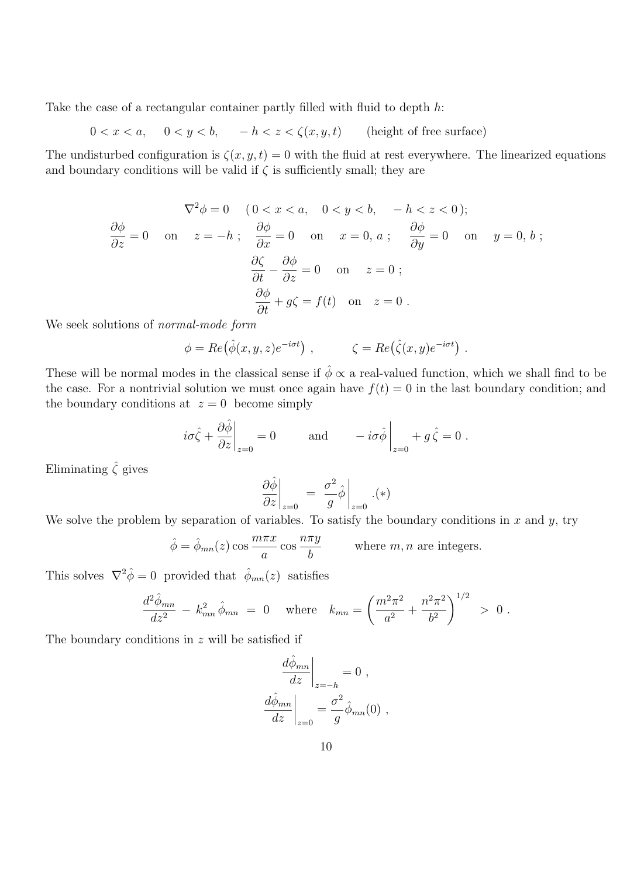Take the case of a rectangular container partly filled with fluid to depth h:

 $0 < x < a$ ,  $0 < y < b$ ,  $-h < z < \zeta(x, y, t)$  (height of free surface)

The undisturbed configuration is  $\zeta(x, y, t) = 0$  with the fluid at rest everywhere. The linearized equations and boundary conditions will be valid if  $\zeta$  is sufficiently small; they are

$$
\nabla^2 \phi = 0 \quad (0 < x < a, \quad 0 < y < b, \quad -h < z < 0);
$$
\n
$$
\frac{\partial \phi}{\partial z} = 0 \quad \text{on} \quad z = -h \; ; \quad \frac{\partial \phi}{\partial x} = 0 \quad \text{on} \quad x = 0, \, a \; ; \quad \frac{\partial \phi}{\partial y} = 0 \quad \text{on} \quad y = 0, \, b \; ;
$$
\n
$$
\frac{\partial \zeta}{\partial t} - \frac{\partial \phi}{\partial z} = 0 \quad \text{on} \quad z = 0 \; ;
$$
\n
$$
\frac{\partial \phi}{\partial t} + g\zeta = f(t) \quad \text{on} \quad z = 0 \; .
$$

We seek solutions of normal-mode form

$$
\phi = Re(\hat{\phi}(x, y, z)e^{-i\sigma t}), \qquad \zeta = Re(\hat{\zeta}(x, y)e^{-i\sigma t})
$$

.

These will be normal modes in the classical sense if  $\hat{\phi} \propto a$  real-valued function, which we shall find to be the case. For a nontrivial solution we must once again have  $f(t) = 0$  in the last boundary condition; and the boundary conditions at  $z = 0$  become simply

$$
i\sigma\hat{\zeta} + \frac{\partial\hat{\phi}}{\partial z}\Big|_{z=0} = 0
$$
 and  $-i\sigma\hat{\phi}\Big|_{z=0} + g\hat{\zeta} = 0$ .

Eliminating  $\hat{\zeta}$  gives

$$
\left. \frac{\partial \hat{\phi}}{\partial z} \right|_{z=0} = \left. \frac{\sigma^2}{g} \hat{\phi} \right|_{z=0} . (*)
$$

We solve the problem by separation of variables. To satisfy the boundary conditions in x and y, try

$$
\hat{\phi} = \hat{\phi}_{mn}(z) \cos \frac{m\pi x}{a} \cos \frac{n\pi y}{b}
$$
 where *m*, *n* are integers.

This solves  $\nabla^2 \hat{\phi} = 0$  provided that  $\hat{\phi}_{mn}(z)$  satisfies

$$
\frac{d^2 \hat{\phi}_{mn}}{dz^2} - k_{mn}^2 \hat{\phi}_{mn} = 0 \quad \text{where} \quad k_{mn} = \left(\frac{m^2 \pi^2}{a^2} + \frac{n^2 \pi^2}{b^2}\right)^{1/2} > 0 \; .
$$

The boundary conditions in  $z$  will be satisfied if

$$
\left. \frac{d\hat{\phi}_{mn}}{dz} \right|_{z=-h} = 0 ,
$$
  

$$
\left. \frac{d\hat{\phi}_{mn}}{dz} \right|_{z=0} = \frac{\sigma^2}{g} \hat{\phi}_{mn}(0) ,
$$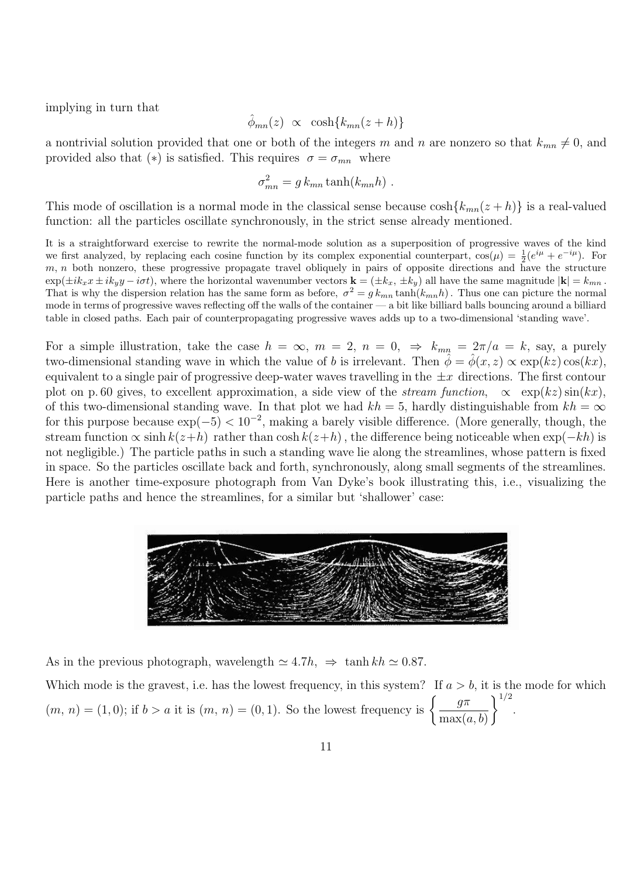implying in turn that

$$
\hat{\phi}_{mn}(z) \propto \cosh\{k_{mn}(z+h)\}
$$

a nontrivial solution provided that one or both of the integers m and n are nonzero so that  $k_{mn} \neq 0$ , and provided also that (\*) is satisfied. This requires  $\sigma = \sigma_{mn}$  where

$$
\sigma_{mn}^2 = g k_{mn} \tanh(k_{mn} h) .
$$

This mode of oscillation is a normal mode in the classical sense because  $\cosh{k_{mn}(z+h)}$  is a real-valued function: all the particles oscillate synchronously, in the strict sense already mentioned.

It is a straightforward exercise to rewrite the normal-mode solution as a superposition of progressive waves of the kind we first analyzed, by replacing each cosine function by its complex exponential counterpart,  $\cos(\mu) = \frac{1}{2}(e^{i\mu} + e^{-i\mu})$ . For  $m, n$  both nonzero, these progressive propagate travel obliquely in pairs of opposite directions and have the structure  $\exp(\pm i k_x x \pm i k_y y - i \sigma t)$ , where the horizontal wavenumber vectors  $\mathbf{k} = (\pm k_x, \pm k_y)$  all have the same magnitude  $|\mathbf{k}| = k_{mn}$ . That is why the dispersion relation has the same form as before,  $\sigma^2 = g k_{mn} \tanh(k_{mn} h)$ . Thus one can picture the normal mode in terms of progressive waves reflecting off the walls of the container — a bit like billiard balls bouncing around a billiard table in closed paths. Each pair of counterpropagating progressive waves adds up to a two-dimensional 'standing wave'.

For a simple illustration, take the case  $h = \infty$ ,  $m = 2$ ,  $n = 0$ ,  $\Rightarrow k_{mn} = 2\pi/a = k$ , say, a purely two-dimensional standing wave in which the value of b is irrelevant. Then  $\hat{\phi} = \hat{\phi}(x, z) \propto \exp(kz) \cos(kx)$ , equivalent to a single pair of progressive deep-water waves travelling in the  $\pm x$  directions. The first contour plot on p. 60 gives, to excellent approximation, a side view of the *stream function*,  $\propto \exp(kz)\sin(kx)$ , of this two-dimensional standing wave. In that plot we had  $kh = 5$ , hardly distinguishable from  $kh = \infty$ for this purpose because  $\exp(-5) < 10^{-2}$ , making a barely visible difference. (More generally, though, the stream function  $\propto \sinh k(z+h)$  rather than  $\cosh k(z+h)$ , the difference being noticeable when  $\exp(-kh)$  is not negligible.) The particle paths in such a standing wave lie along the streamlines, whose pattern is fixed in space. So the particles oscillate back and forth, synchronously, along small segments of the streamlines. Here is another time-exposure photograph from Van Dyke's book illustrating this, i.e., visualizing the particle paths and hence the streamlines, for a similar but 'shallower' case:



As in the previous photograph, wavelength  $\simeq 4.7h$ ,  $\Rightarrow$  tanh kh  $\simeq 0.87$ .

Which mode is the gravest, i.e. has the lowest frequency, in this system? If  $a > b$ , it is the mode for which  $(m, n) = (1, 0);$  if  $b > a$  it is  $(m, n) = (0, 1).$  So the lowest frequency is  $\begin{cases} \frac{g\pi}{2} & \text{if } k \leq 1. \end{cases}$  $max(a, b)$  $\big)$ <sup> $1/2$ </sup> .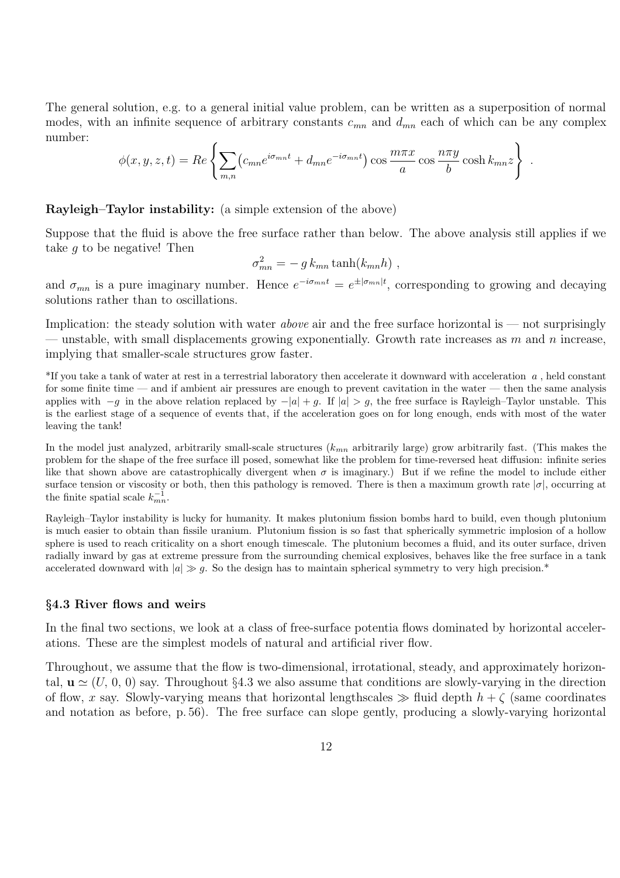The general solution, e.g. to a general initial value problem, can be written as a superposition of normal modes, with an infinite sequence of arbitrary constants  $c_{mn}$  and  $d_{mn}$  each of which can be any complex number:

$$
\phi(x, y, z, t) = Re \left\{ \sum_{m,n} (c_{mn} e^{i\sigma_{mn}t} + d_{mn} e^{-i\sigma_{mn}t}) \cos \frac{m\pi x}{a} \cos \frac{n\pi y}{b} \cosh k_{mn} z \right\}
$$

.

#### Rayleigh–Taylor instability: (a simple extension of the above)

Suppose that the fluid is above the free surface rather than below. The above analysis still applies if we take g to be negative! Then

$$
\sigma_{mn}^2 = - g k_{mn} \tanh(k_{mn} h) ,
$$

and  $\sigma_{mn}$  is a pure imaginary number. Hence  $e^{-i\sigma_{mn}t} = e^{\pm |\sigma_{mn}|t}$ , corresponding to growing and decaying solutions rather than to oscillations.

Implication: the steady solution with water *above* air and the free surface horizontal is — not surprisingly — unstable, with small displacements growing exponentially. Growth rate increases as  $m$  and  $n$  increase, implying that smaller-scale structures grow faster.

\*If you take a tank of water at rest in a terrestrial laboratory then accelerate it downward with acceleration a , held constant for some finite time — and if ambient air pressures are enough to prevent cavitation in the water — then the same analysis applies with  $-q$  in the above relation replaced by  $-|a| + q$ . If  $|a| > q$ , the free surface is Rayleigh–Taylor unstable. This is the earliest stage of a sequence of events that, if the acceleration goes on for long enough, ends with most of the water leaving the tank!

In the model just analyzed, arbitrarily small-scale structures  $(k_{mn}$  arbitrarily large) grow arbitrarily fast. (This makes the problem for the shape of the free surface ill posed, somewhat like the problem for time-reversed heat diffusion: infinite series like that shown above are catastrophically divergent when  $\sigma$  is imaginary.) But if we refine the model to include either surface tension or viscosity or both, then this pathology is removed. There is then a maximum growth rate  $|\sigma|$ , occurring at the finite spatial scale  $k_{mn}^{-1}$ .

Rayleigh–Taylor instability is lucky for humanity. It makes plutonium fission bombs hard to build, even though plutonium is much easier to obtain than fissile uranium. Plutonium fission is so fast that spherically symmetric implosion of a hollow sphere is used to reach criticality on a short enough timescale. The plutonium becomes a fluid, and its outer surface, driven radially inward by gas at extreme pressure from the surrounding chemical explosives, behaves like the free surface in a tank accelerated downward with  $|a| \gg q$ . So the design has to maintain spherical symmetry to very high precision.<sup>\*</sup>

#### §4.3 River flows and weirs

In the final two sections, we look at a class of free-surface potentia flows dominated by horizontal accelerations. These are the simplest models of natural and artificial river flow.

Throughout, we assume that the flow is two-dimensional, irrotational, steady, and approximately horizontal,  $\mathbf{u} \simeq (U, 0, 0)$  say. Throughout §4.3 we also assume that conditions are slowly-varying in the direction of flow, x say. Slowly-varying means that horizontal lengthscales  $\gg$  fluid depth  $h + \zeta$  (same coordinates and notation as before, p. 56). The free surface can slope gently, producing a slowly-varying horizontal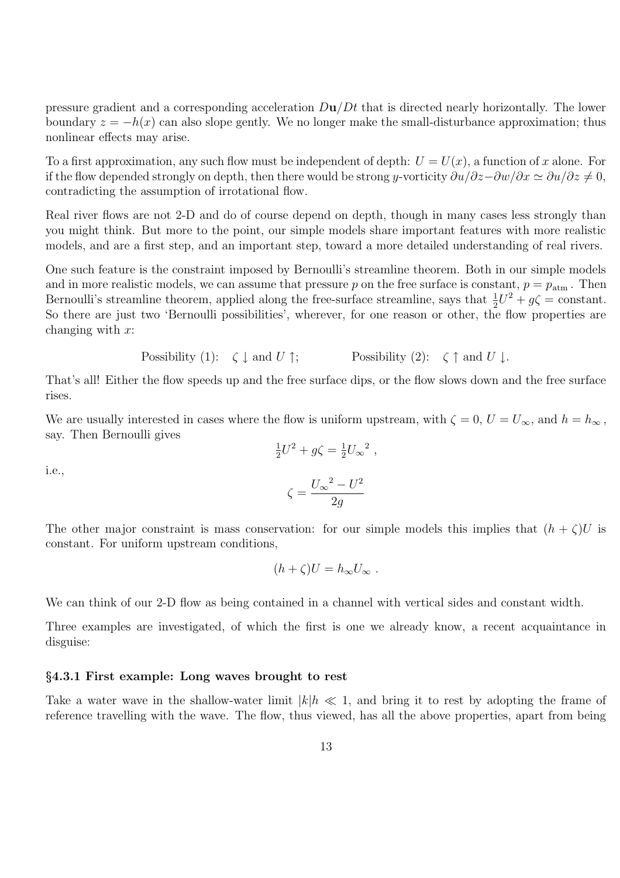pressure gradient and a corresponding acceleration  $D\mathbf{u}/Dt$  that is directed nearly horizontally. The lower boundary  $z = -h(x)$  can also slope gently. We no longer make the small-disturbance approximation; thus nonlinear effects may arise.

To a first approximation, any such flow must be independent of depth:  $U = U(x)$ , a function of x alone. For if the flow depended strongly on depth, then there would be strong y-vorticity  $\frac{\partial u}{\partial z} - \frac{\partial w}{\partial x} \approx \frac{\partial u}{\partial z} \neq 0$ , contradicting the assumption of irrotational flow.

Real river flows are not 2-D and do of course depend on depth, though in many cases less strongly than you might think. But more to the point, our simple models share important features with more realistic models, and are a first step, and an important step, toward a more detailed understanding of real rivers.

One such feature is the constraint imposed by Bernoulli's streamline theorem. Both in our simple models and in more realistic models, we can assume that pressure p on the free surface is constant,  $p = p_{\text{atm}}$ . Then Bernoulli's streamline theorem, applied along the free-surface streamline, says that  $\frac{1}{2}U^2 + g\zeta = \text{constant}$ . So there are just two 'Bernoulli possibilities', wherever, for one reason or other, the flow properties are changing with  $x$ :

Possibility (1):  $\zeta \downarrow$  and  $U \uparrow$ ; Possibility (2):  $\zeta \uparrow$  and  $U \downarrow$ .

That's all! Either the flow speeds up and the free surface dips, or the flow slows down and the free surface rises.

We are usually interested in cases where the flow is uniform upstream, with  $\zeta = 0$ ,  $U = U_{\infty}$ , and  $h = h_{\infty}$ , say. Then Bernoulli gives

$$
\frac{1}{2}U^2 + g\zeta = \frac{1}{2}U_{\infty}^2,
$$

i.e.,

$$
\zeta = \frac{{U_\infty}^2 - U^2}{2g}
$$

The other major constraint is mass conservation: for our simple models this implies that  $(h + \zeta)U$  is constant. For uniform upstream conditions,

$$
(h+\zeta)U=h_{\infty}U_{\infty}.
$$

We can think of our 2-D flow as being contained in a channel with vertical sides and constant width.

Three examples are investigated, of which the first is one we already know, a recent acquaintance in disguise:

## §4.3.1 First example: Long waves brought to rest

Take a water wave in the shallow-water limit  $|k|h \ll 1$ , and bring it to rest by adopting the frame of reference travelling with the wave. The flow, thus viewed, has all the above properties, apart from being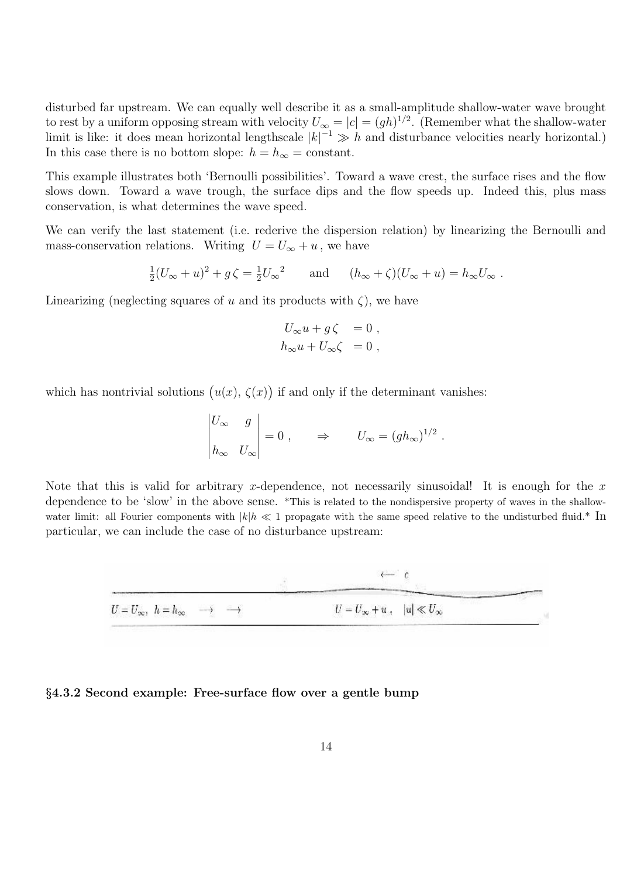disturbed far upstream. We can equally well describe it as a small-amplitude shallow-water wave brought to rest by a uniform opposing stream with velocity  $U_{\infty} = |c| = (gh)^{1/2}$ . (Remember what the shallow-water limit is like: it does mean horizontal lengthscale  $|k|^{-1} \gg h$  and disturbance velocities nearly horizontal.) In this case there is no bottom slope:  $h = h_{\infty} = \text{constant}$ .

This example illustrates both 'Bernoulli possibilities'. Toward a wave crest, the surface rises and the flow slows down. Toward a wave trough, the surface dips and the flow speeds up. Indeed this, plus mass conservation, is what determines the wave speed.

We can verify the last statement (i.e. rederive the dispersion relation) by linearizing the Bernoulli and mass-conservation relations. Writing  $U = U_{\infty} + u$ , we have

$$
\frac{1}{2}(U_{\infty}+u)^2+g\zeta=\frac{1}{2}U_{\infty}^2\qquad\text{and}\qquad (h_{\infty}+\zeta)(U_{\infty}+u)=h_{\infty}U_{\infty}.
$$

Linearizing (neglecting squares of u and its products with  $\zeta$ ), we have

$$
U_{\infty}u + g\zeta = 0 ,h_{\infty}u + U_{\infty}\zeta = 0 ,
$$

which has nontrivial solutions  $(u(x), \zeta(x))$  if and only if the determinant vanishes:

$$
\begin{vmatrix} U_{\infty} & g \\ h_{\infty} & U_{\infty} \end{vmatrix} = 0 , \qquad \Rightarrow \qquad U_{\infty} = (gh_{\infty})^{1/2} .
$$

Note that this is valid for arbitrary x-dependence, not necessarily sinusoidal! It is enough for the x dependence to be 'slow' in the above sense. \*This is related to the nondispersive property of waves in the shallowwater limit: all Fourier components with  $|k|h \ll 1$  propagate with the same speed relative to the undisturbed fluid.\* In particular, we can include the case of no disturbance upstream:



#### §4.3.2 Second example: Free-surface flow over a gentle bump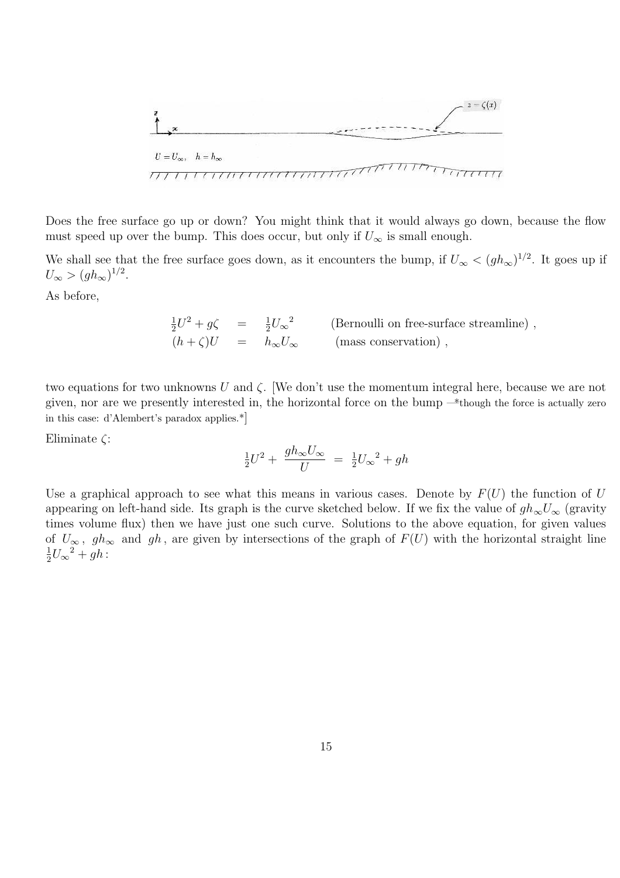

Does the free surface go up or down? You might think that it would always go down, because the flow must speed up over the bump. This does occur, but only if  $U_{\infty}$  is small enough.

We shall see that the free surface goes down, as it encounters the bump, if  $U_{\infty} < (gh_{\infty})^{1/2}$ . It goes up if  $U_{\infty} > (gh_{\infty})^{1/2}.$ 

As before,

$$
\frac{1}{2}U^2 + g\zeta = \frac{1}{2}U_{\infty}^2
$$
 (Bernoulli on free-surface streamline),  
\n
$$
(h + \zeta)U = h_{\infty}U_{\infty}
$$
 (mass conservation),

two equations for two unknowns U and  $\zeta$ . We don't use the momentum integral here, because we are not given, nor are we presently interested in, the horizontal force on the bump —\*though the force is actually zero in this case: d'Alembert's paradox applies.\*]

Eliminate  $\zeta$ :

$$
\frac{1}{2}U^2 + \frac{gh_{\infty}U_{\infty}}{U} = \frac{1}{2}U_{\infty}^2 + gh
$$

Use a graphical approach to see what this means in various cases. Denote by  $F(U)$  the function of U appearing on left-hand side. Its graph is the curve sketched below. If we fix the value of  $gh_{\infty}U_{\infty}$  (gravity times volume flux) then we have just one such curve. Solutions to the above equation, for given values of  $U_{\infty}$ ,  $gh_{\infty}$  and  $gh$ , are given by intersections of the graph of  $F(U)$  with the horizontal straight line 1  $\frac{1}{2}U_{\infty}^2 + gh$ :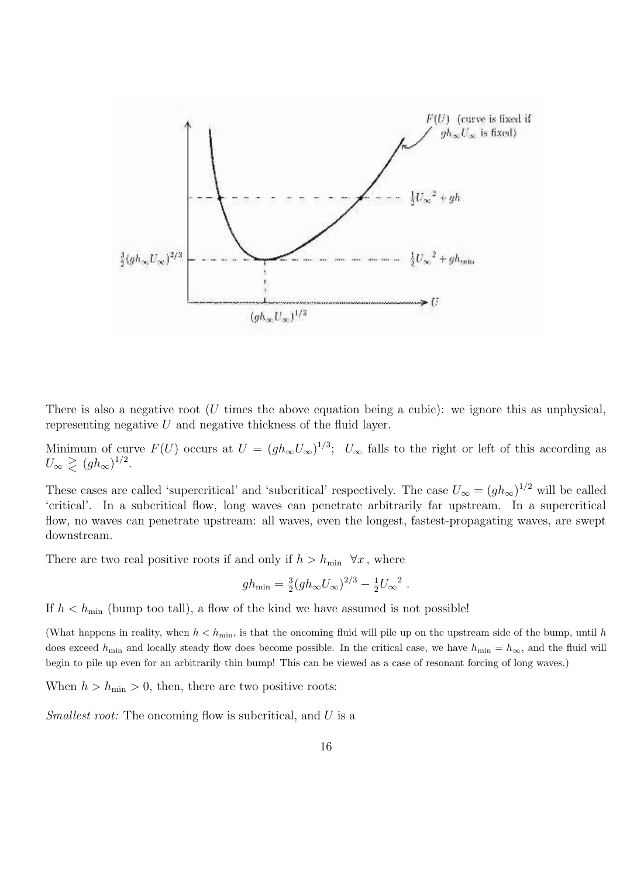

There is also a negative root (U times the above equation being a cubic): we ignore this as unphysical, representing negative  $U$  and negative thickness of the fluid layer.

Minimum of curve  $F(U)$  occurs at  $U = (gh_{\infty}U_{\infty})^{1/3}$ ;  $U_{\infty}$  falls to the right or left of this according as  $U_{\infty} \geq (gh_{\infty})^{1/2}.$ 

These cases are called 'supercritical' and 'subcritical' respectively. The case  $U_{\infty} = (gh_{\infty})^{1/2}$  will be called 'critical'. In a subcritical flow, long waves can penetrate arbitrarily far upstream. In a supercritical flow, no waves can penetrate upstream: all waves, even the longest, fastest-propagating waves, are swept downstream.

There are two real positive roots if and only if  $h > h_{\min} \ \forall x$ , where

$$
gh_{\min} = \frac{3}{2}(gh_{\infty}U_{\infty})^{2/3} - \frac{1}{2}U_{\infty}^{2}
$$
.

If  $h < h_{\min}$  (bump too tall), a flow of the kind we have assumed is not possible!

(What happens in reality, when  $h < h_{\min}$ , is that the oncoming fluid will pile up on the upstream side of the bump, until h does exceed  $h_{\text{min}}$  and locally steady flow does become possible. In the critical case, we have  $h_{\text{min}} = h_{\infty}$ , and the fluid will begin to pile up even for an arbitrarily thin bump! This can be viewed as a case of resonant forcing of long waves.)

When  $h > h_{\min} > 0$ , then, there are two positive roots:

Smallest root: The oncoming flow is subcritical, and U is a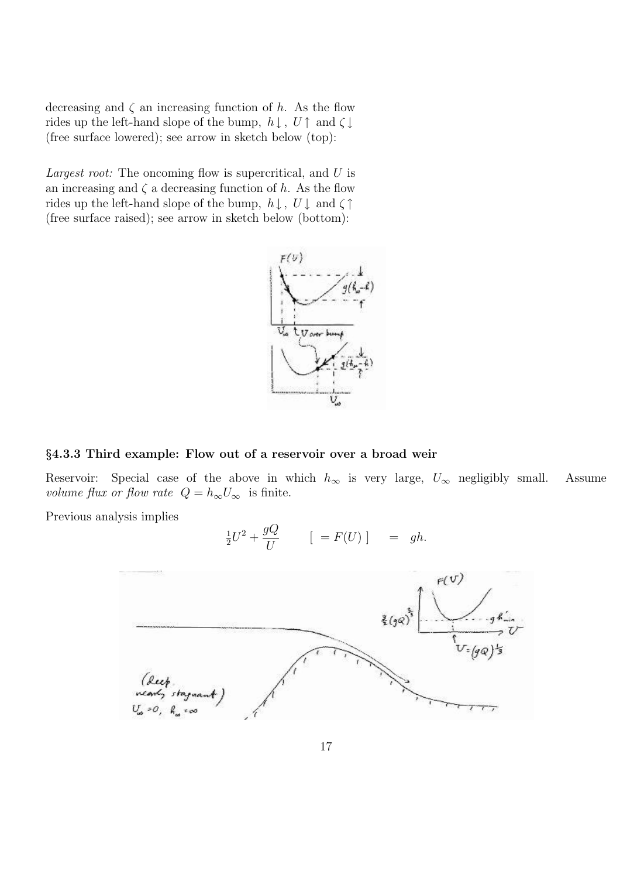decreasing and  $\zeta$  an increasing function of h. As the flow rides up the left-hand slope of the bump,  $h \downarrow$ ,  $U \uparrow$  and  $\zeta \downarrow$ (free surface lowered); see arrow in sketch below (top):

Largest root: The oncoming flow is supercritical, and U is an increasing and  $\zeta$  a decreasing function of h. As the flow rides up the left-hand slope of the bump,  $h \downarrow$ ,  $U \downarrow$  and  $\zeta \uparrow$ (free surface raised); see arrow in sketch below (bottom):



# §4.3.3 Third example: Flow out of a reservoir over a broad weir

1

Reservoir: Special case of the above in which  $h_{\infty}$  is very large,  $U_{\infty}$  negligibly small. Assume volume flux or flow rate  $Q = h_{\infty}U_{\infty}$  is finite.

Previous analysis implies

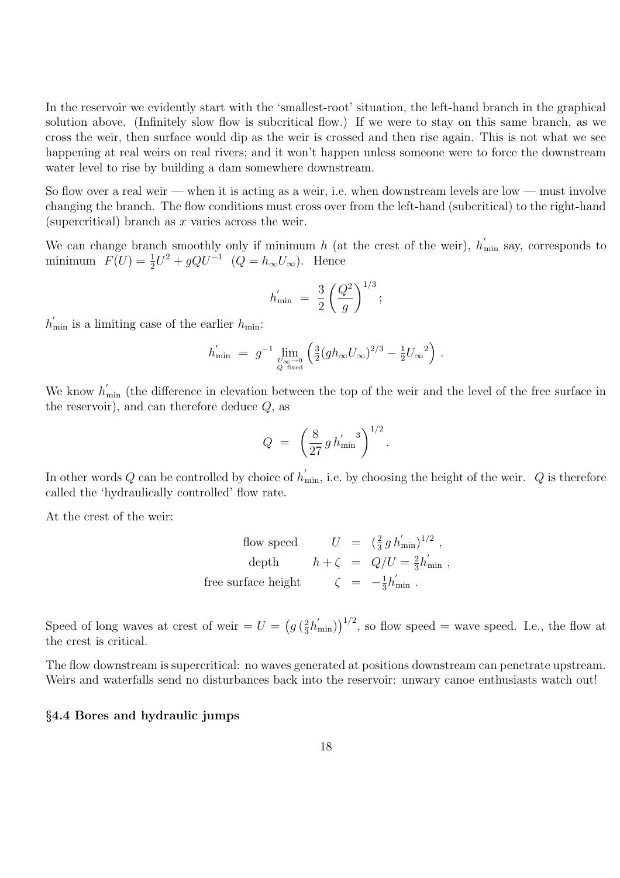In the reservoir we evidently start with the 'smallest-root' situation, the left-hand branch in the graphical solution above. (Infinitely slow flow is subcritical flow.) If we were to stay on this same branch, as we cross the weir, then surface would dip as the weir is crossed and then rise again. This is not what we see happening at real weirs on real rivers; and it won't happen unless someone were to force the downstream water level to rise by building a dam somewhere downstream.

So flow over a real weir — when it is acting as a weir, i.e. when downstream levels are low — must involve changing the branch. The flow conditions must cross over from the left-hand (subcritical) to the right-hand (supercritical) branch as  $x$  varies across the weir.

We can change branch smoothly only if minimum h (at the crest of the weir),  $h'_{\text{min}}$  say, corresponds to minimum  $F(U) = \frac{1}{2}$  $\frac{1}{2}U^2 + gQU^{-1}$   $(Q = h_{\infty}U_{\infty})$ . Hence

$$
h'_{\min} = \frac{3}{2} \left( \frac{Q^2}{g} \right)^{1/3};
$$

 $h'_{\min}$  is a limiting case of the earlier  $h_{\min}$ :

$$
h_{\min}^{'} ~=~ g^{-1} \lim_{U_{\infty}^{\infty} \to 0 \atop Q \ {\rm fixed}} \left( \tfrac{3}{2} (g h_\infty U_\infty)^{2/3} - \tfrac{1}{2} U_\infty^{-2} \right) \, .
$$

We know  $h'_{\text{min}}$  (the difference in elevation between the top of the weir and the level of the free surface in the reservoir), and can therefore deduce  $Q$ , as

$$
Q = \left(\frac{8}{27} g h'_{\rm min}\right)^{1/2}.
$$

In other words Q can be controlled by choice of  $h'_{\min}$ , i.e. by choosing the height of the weir. Q is therefore called the 'hydraulically controlled' flow rate.

At the crest of the weir:

$$
\begin{array}{rcl} \mbox{flow speed} & U & = & \bigl(\frac{2}{3}\,g\,h_{\rm min}^{'}\bigr)^{1/2}\;,\\[2mm] \mbox{depth} & h+\zeta & = & Q/U = \frac{2}{3}h_{\rm min}^{'}\;,\\[2mm] \mbox{free surface height} & \zeta & = & -\frac{1}{3}h_{\rm min}^{'}\;. \end{array}
$$

Speed of long waves at crest of weir =  $U = \left(g\left(\frac{2}{3}\right)\right)$  $(\frac{2}{3}h'_{\text{min}})^{1/2}$ , so flow speed = wave speed. I.e., the flow at the crest is critical.

The flow downstream is supercritical: no waves generated at positions downstream can penetrate upstream. Weirs and waterfalls send no disturbances back into the reservoir: unwary canoe enthusiasts watch out!

### §4.4 Bores and hydraulic jumps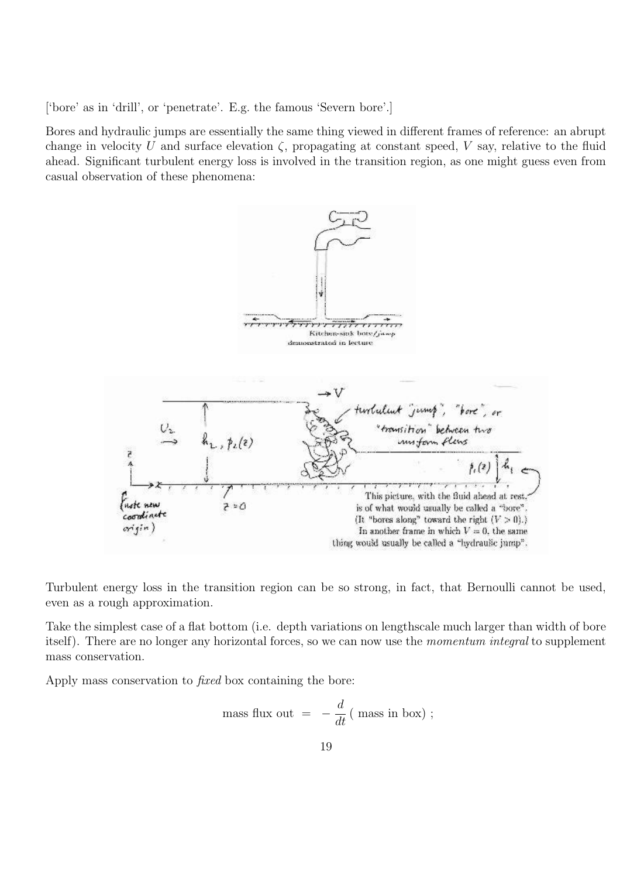['bore' as in 'drill', or 'penetrate'. E.g. the famous 'Severn bore'.]

Bores and hydraulic jumps are essentially the same thing viewed in different frames of reference: an abrupt change in velocity U and surface elevation  $\zeta$ , propagating at constant speed, V say, relative to the fluid ahead. Significant turbulent energy loss is involved in the transition region, as one might guess even from casual observation of these phenomena:



Turbulent energy loss in the transition region can be so strong, in fact, that Bernoulli cannot be used, even as a rough approximation.

Take the simplest case of a flat bottom (i.e. depth variations on lengthscale much larger than width of bore itself). There are no longer any horizontal forces, so we can now use the *momentum integral* to supplement mass conservation.

Apply mass conservation to fixed box containing the bore:

mass flux out 
$$
= -\frac{d}{dt}
$$
 ( mass in box) ;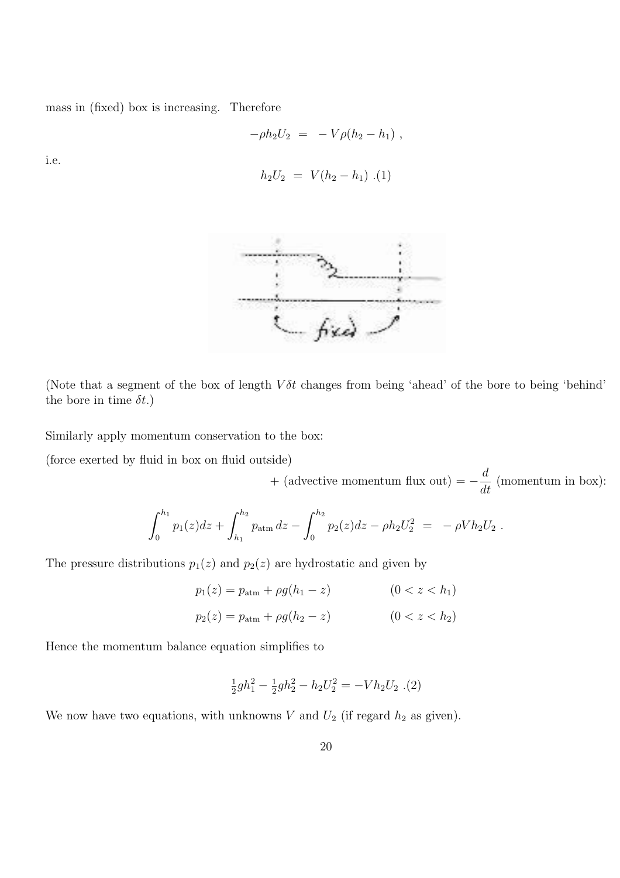mass in (fixed) box is increasing. Therefore

$$
-\rho h_2 U_2 = -V \rho (h_2 - h_1) ,
$$

i.e.

$$
h_2 U_2 = V(h_2 - h_1) \cdot (1)
$$



(Note that a segment of the box of length  $V\delta t$  changes from being 'ahead' of the bore to being 'behind' the bore in time  $\delta t$ .)

Similarly apply momentum conservation to the box:

(force exerted by fluid in box on fluid outside)

+ (advective momentum flux out) = − d  $\frac{d}{dt}$  (momentum in box):

$$
\int_0^{h_1} p_1(z)dz + \int_{h_1}^{h_2} p_{\text{atm}} dz - \int_0^{h_2} p_2(z)dz - \rho h_2 U_2^2 = -\rho V h_2 U_2.
$$

The pressure distributions  $p_1(z)$  and  $p_2(z)$  are hydrostatic and given by

$$
p_1(z) = p_{\text{atm}} + \rho g(h_1 - z)
$$
 (0 < z < h\_1)  

$$
p_2(z) = p_{\text{atm}} + \rho g(h_2 - z)
$$
 (0 < z < h\_2)

Hence the momentum balance equation simplifies to

$$
\frac{1}{2}gh_1^2 - \frac{1}{2}gh_2^2 - h_2U_2^2 = -Vh_2U_2 \tag{2}
$$

We now have two equations, with unknowns  $V$  and  $U_2$  (if regard  $h_2$  as given).